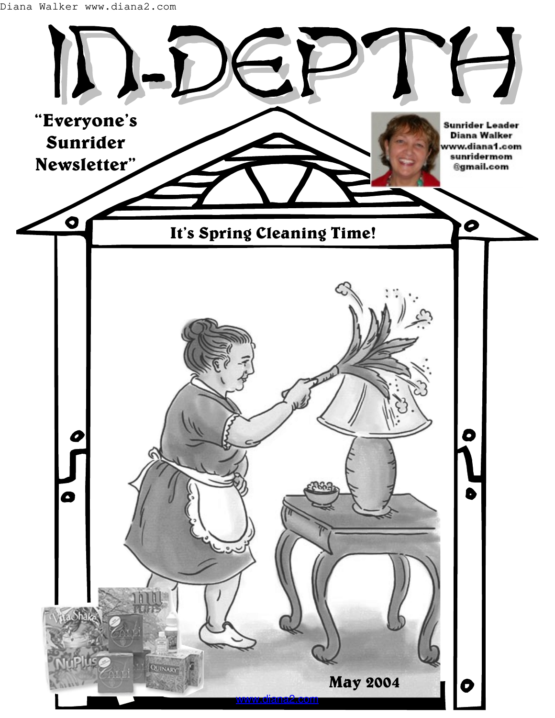Diana Walker www.diana2.com

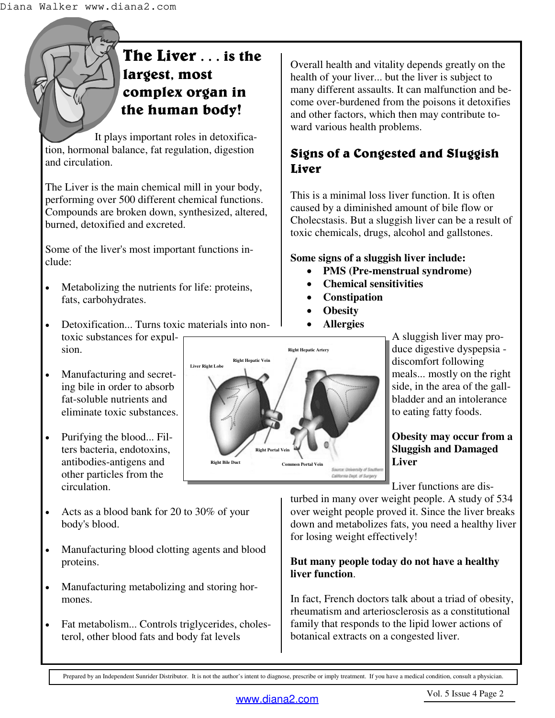# **The Liver . . . is the largest, most complex organ in the human body!**

It plays important roles in detoxification, hormonal balance, fat regulation, digestion and circulation.

The Liver is the main chemical mill in your body, performing over 500 different chemical functions. Compounds are broken down, synthesized, altered, burned, detoxified and excreted.

Some of the liver's most important functions include:

- Metabolizing the nutrients for life: proteins, fats, carbohydrates.
- Detoxification... Turns toxic materials into nontoxic substances for expulsion.
- Manufacturing and secreting bile in order to absorb fat-soluble nutrients and eliminate toxic substances.
- Purifying the blood... Filters bacteria, endotoxins, antibodies-antigens and other particles from the circulation.
- Acts as a blood bank for 20 to 30% of your body's blood.
- Manufacturing blood clotting agents and blood proteins.
- Manufacturing metabolizing and storing hormones.
- Fat metabolism... Controls triglycerides, cholesterol, other blood fats and body fat levels

Overall health and vitality depends greatly on the health of your liver... but the liver is subject to many different assaults. It can malfunction and become over-burdened from the poisons it detoxifies and other factors, which then may contribute toward various health problems.

## **Signs of a Congested and Sluggish Liver**

This is a minimal loss liver function. It is often caused by a diminished amount of bile flow or Cholecstasis. But a sluggish liver can be a result of toxic chemicals, drugs, alcohol and gallstones.

### **Some signs of a sluggish liver include:**

- **PMS (Pre-menstrual syndrome)**
- **Chemical sensitivities**
- **Constipation**
- **Obesity**
- **Allergies**

A sluggish liver may produce digestive dyspepsia discomfort following meals... mostly on the right side, in the area of the gallbladder and an intolerance to eating fatty foods.

### **Obesity may occur from a Sluggish and Damaged Liver**

Liver functions are dis-

turbed in many over weight people. A study of 534 over weight people proved it. Since the liver breaks down and metabolizes fats, you need a healthy liver for losing weight effectively!

### **But many people today do not have a healthy liver function**.

In fact, French doctors talk about a triad of obesity, rheumatism and arteriosclerosis as a constitutional family that responds to the lipid lower actions of botanical extracts on a congested liver.

Prepared by an Independent Sunrider Distributor. It is not the author's intent to diagnose, prescribe or imply treatment. If you have a medical condition, consult a physician.

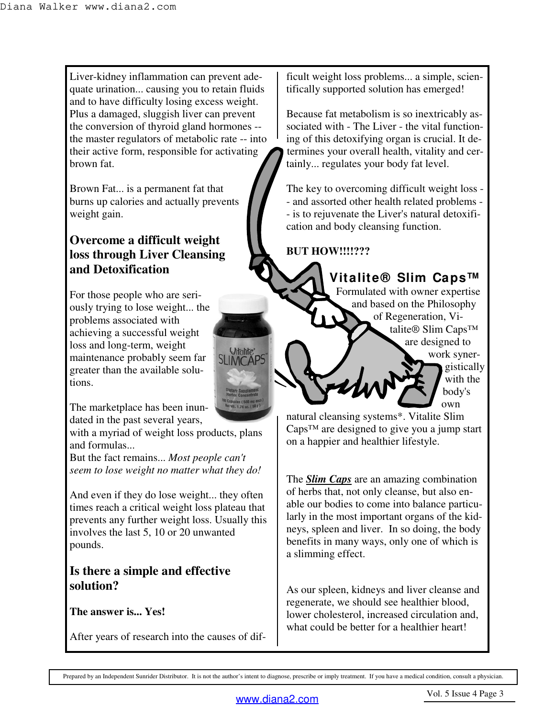Liver-kidney inflammation can prevent adequate urination... causing you to retain fluids and to have difficulty losing excess weight. Plus a damaged, sluggish liver can prevent the conversion of thyroid gland hormones - the master regulators of metabolic rate -- into their active form, responsible for activating brown fat.

Brown Fat... is a permanent fat that burns up calories and actually prevents weight gain.

### **Overcome a difficult weight loss through Liver Cleansing and Detoxification**

For those people who are seriously trying to lose weight... the problems associated with achieving a successful weight loss and long-term, weight maintenance probably seem far greater than the available solutions.

The marketplace has been inundated in the past several years,

with a myriad of weight loss products, plans and formulas...

But the fact remains... *Most people can't seem to lose weight no matter what they do!*

And even if they do lose weight... they often times reach a critical weight loss plateau that prevents any further weight loss. Usually this involves the last 5, 10 or 20 unwanted pounds.

### **Is there a simple and effective solution?**

**The answer is... Yes!**

After years of research into the causes of dif-

ficult weight loss problems... a simple, scientifically supported solution has emerged!

Because fat metabolism is so inextricably associated with - The Liver - the vital functioning of this detoxifying organ is crucial. It determines your overall health, vitality and certainly... regulates your body fat level.

The key to overcoming difficult weight loss - - and assorted other health related problems - - is to rejuvenate the Liver's natural detoxification and body cleansing function.

### **BUT HOW!!!!???**

**Vitalite® Slim Caps™** Formulated with owner expertise and based on the Philosophy of Regeneration, Vitalite® Slim Caps™ are designed to work synergistically with the body's own

natural cleansing systems\*. Vitalite Slim Caps™ are designed to give you a jump start on a happier and healthier lifestyle.

The *Slim Caps* are an amazing combination of herbs that, not only cleanse, but also enable our bodies to come into balance particularly in the most important organs of the kidneys, spleen and liver. In so doing, the body benefits in many ways, only one of which is a slimming effect.

As our spleen, kidneys and liver cleanse and regenerate, we should see healthier blood, lower cholesterol, increased circulation and, what could be better for a healthier heart!

Prepared by an Independent Sunrider Distributor. It is not the author's intent to diagnose, prescribe or imply treatment. If you have a medical condition, consult a physician.

*Mitalite\**<br>MCAPS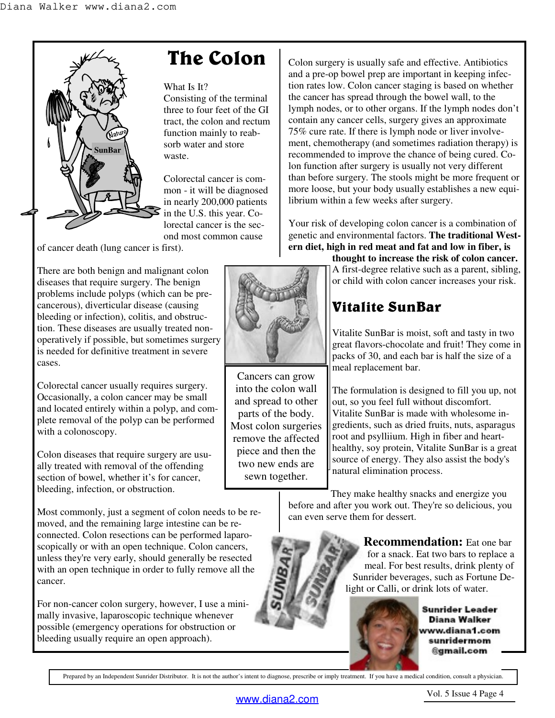

# **The Colon**

#### What Is It?

Consisting of the terminal three to four feet of the GI tract, the colon and rectum function mainly to reabsorb water and store waste.

Colorectal cancer is common - it will be diagnosed in nearly 200,000 patients in the U.S. this year. Colorectal cancer is the second most common cause

of cancer death (lung cancer is first).

There are both benign and malignant colon diseases that require surgery. The benign problems include polyps (which can be precancerous), diverticular disease (causing bleeding or infection), colitis, and obstruction. These diseases are usually treated nonoperatively if possible, but sometimes surgery is needed for definitive treatment in severe cases.

Colorectal cancer usually requires surgery. Occasionally, a colon cancer may be small and located entirely within a polyp, and complete removal of the polyp can be performed with a colonoscopy.

Colon diseases that require surgery are usually treated with removal of the offending section of bowel, whether it's for cancer, bleeding, infection, or obstruction.

Most commonly, just a segment of colon needs to be removed, and the remaining large intestine can be reconnected. Colon resections can be performed laparoscopically or with an open technique. Colon cancers, unless they're very early, should generally be resected with an open technique in order to fully remove all the cancer.

For non-cancer colon surgery, however, I use a minimally invasive, laparoscopic technique whenever possible (emergency operations for obstruction or bleeding usually require an open approach).



Cancers can grow into the colon wall and spread to other parts of the body. Most colon surgeries remove the affected piece and then the two new ends are sewn together.

Colon surgery is usually safe and effective. Antibiotics and a pre-op bowel prep are important in keeping infection rates low. Colon cancer staging is based on whether the cancer has spread through the bowel wall, to the lymph nodes, or to other organs. If the lymph nodes don't contain any cancer cells, surgery gives an approximate 75% cure rate. If there is lymph node or liver involvement, chemotherapy (and sometimes radiation therapy) is recommended to improve the chance of being cured. Colon function after surgery is usually not very different than before surgery. The stools might be more frequent or more loose, but your body usually establishes a new equilibrium within a few weeks after surgery.

Your risk of developing colon cancer is a combination of genetic and environmental factors. **The traditional Western diet, high in red meat and fat and low in fiber, is** 

**thought to increase the risk of colon cancer.** A first-degree relative such as a parent, sibling, or child with colon cancer increases your risk.

# **Vitalite SunBar**

Vitalite SunBar is moist, soft and tasty in two great flavors-chocolate and fruit! They come in packs of 30, and each bar is half the size of a meal replacement bar.

The formulation is designed to fill you up, not out, so you feel full without discomfort. Vitalite SunBar is made with wholesome ingredients, such as dried fruits, nuts, asparagus root and psylliium. High in fiber and hearthealthy, soy protein, Vitalite SunBar is a great source of energy. They also assist the body's natural elimination process.

They make healthy snacks and energize you before and after you work out. They're so delicious, you can even serve them for dessert.

> **Recommendation:** Eat one bar for a snack. Eat two bars to replace a meal. For best results, drink plenty of Sunrider beverages, such as Fortune Delight or Calli, or drink lots of water.



Sunrider Leader Diana Walker ww.diana1.com sunridermom @gmail.com

Prepared by an Independent Sunrider Distributor. It is not the author's intent to diagnose, prescribe or imply treatment. If you have a medical condition, consult a physician.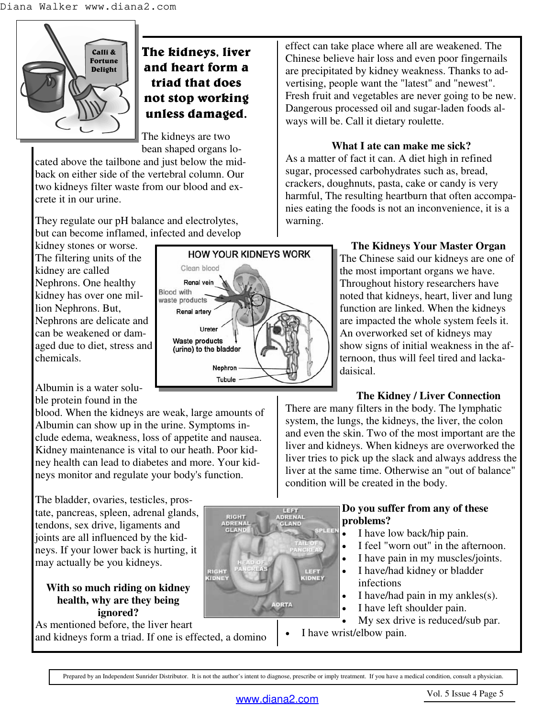

## **The kidneys, liver and heart form a triad that does not stop working unless damaged.**

The kidneys are two bean shaped organs lo-

cated above the tailbone and just below the midback on either side of the vertebral column. Our two kidneys filter waste from our blood and excrete it in our urine.

They regulate our pH balance and electrolytes, but can become inflamed, infected and develop

kidney stones or worse. The filtering units of the kidney are called Nephrons. One healthy kidney has over one million Nephrons. But, Nephrons are delicate and can be weakened or damaged due to diet, stress and chemicals.

Albumin is a water soluble protein found in the

blood. When the kidneys are weak, large amounts of Albumin can show up in the urine. Symptoms include edema, weakness, loss of appetite and nausea. Kidney maintenance is vital to our heath. Poor kidney health can lead to diabetes and more. Your kidneys monitor and regulate your body's function.

The bladder, ovaries, testicles, prostate, pancreas, spleen, adrenal glands, tendons, sex drive, ligaments and joints are all influenced by the kidneys. If your lower back is hurting, it may actually be you kidneys.

### **With so much riding on kidney health, why are they being ignored?**

As mentioned before, the liver heart and kidneys form a triad. If one is effected, a domino effect can take place where all are weakened. The Chinese believe hair loss and even poor fingernails are precipitated by kidney weakness. Thanks to advertising, people want the "latest" and "newest". Fresh fruit and vegetables are never going to be new. Dangerous processed oil and sugar-laden foods always will be. Call it dietary roulette.

### **What I ate can make me sick?**

As a matter of fact it can. A diet high in refined sugar, processed carbohydrates such as, bread, crackers, doughnuts, pasta, cake or candy is very harmful, The resulting heartburn that often accompanies eating the foods is not an inconvenience, it is a warning.



**RIGHT**<br>KIDNEY

### **The Kidneys Your Master Organ**

The Chinese said our kidneys are one of the most important organs we have. Throughout history researchers have noted that kidneys, heart, liver and lung function are linked. When the kidneys are impacted the whole system feels it. An overworked set of kidneys may show signs of initial weakness in the afternoon, thus will feel tired and lackadaisical.

### **The Kidney / Liver Connection**

There are many filters in the body. The lymphatic system, the lungs, the kidneys, the liver, the colon and even the skin. Two of the most important are the liver and kidneys. When kidneys are overworked the liver tries to pick up the slack and always address the liver at the same time. Otherwise an "out of balance" condition will be created in the body.

#### **Do you suffer from any of these problems?**

- I have low back/hip pain.
- I feel "worn out" in the afternoon.
- I have pain in my muscles/joints.
- I have/had kidney or bladder infections
- I have/had pain in my ankles $(s)$ .
- I have left shoulder pain.
- My sex drive is reduced/sub par.
- I have wrist/elbow pain.

Prepared by an Independent Sunrider Distributor. It is not the author's intent to diagnose, prescribe or imply treatment. If you have a medical condition, consult a physician.

**AORTA** 

**LEFT<br>ORENAL** 

LEFT<br>**GDNEY**